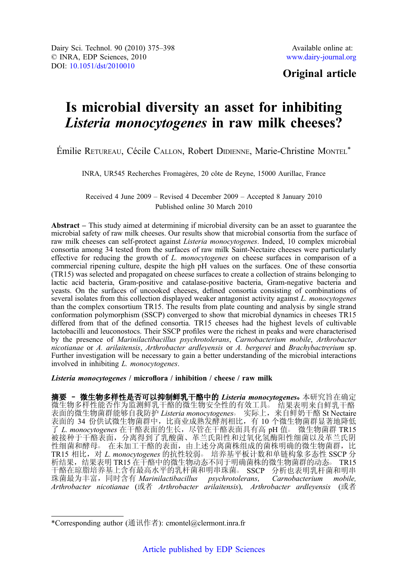# Original article

# Is microbial diversity an asset for inhibiting Listeria monocytogenes in raw milk cheeses?

Émilie RETUREAU, Cécile CALLON, Robert DIDIENNE, Marie-Christine MONTEL\*

INRA, UR545 Recherches Fromagères, 20 côte de Reyne, 15000 Aurillac, France

Received 4 June 2009 – Revised 4 December 2009 – Accepted 8 January 2010 Published online 30 March 2010

Abstract – This study aimed at determining if microbial diversity can be an asset to guarantee the microbial safety of raw milk cheeses. Our results show that microbial consortia from the surface of raw milk cheeses can self-protect against *Listeria monocytogenes*. Indeed, 10 complex microbial consortia among 34 tested from the surfaces of raw milk Saint-Nectaire cheeses were particularly effective for reducing the growth of L. monocytogenes on cheese surfaces in comparison of a commercial ripening culture, despite the high pH values on the surfaces. One of these consortia (TR15) was selected and propagated on cheese surfaces to create a collection of strains belonging to lactic acid bacteria, Gram-positive and catalase-positive bacteria, Gram-negative bacteria and yeasts. On the surfaces of uncooked cheeses, defined consortia consisting of combinations of several isolates from this collection displayed weaker antagonist activity against L. monocytogenes than the complex consortium TR15. The results from plate counting and analysis by single strand conformation polymorphism (SSCP) converged to show that microbial dynamics in cheeses TR15 differed from that of the defined consortia. TR15 cheeses had the highest levels of cultivable lactobacilli and leuconostocs. Their SSCP profiles were the richest in peaks and were characterised by the presence of Marinilactibacillus psychrotolerans, Carnobacterium mobile, Arthrobacter nicotianae or A. arilaitensis, Arthrobacter ardleyensis or A. bergerei and Brachybactrerium sp. Further investigation will be necessary to gain a better understanding of the microbial interactions involved in inhibiting L. monocytogenes.

Listeria monocytogenes / microflora / inhibition / cheese / raw milk

摘要 - 微生物多样性是否可以抑制鲜乳干酪中的 Listeria monocytogenes。本研究旨在确定 微生物多样性能否作为监测鲜乳干酪的微生物安全性的有效工具。 结果表明来自鲜乳干酪 表面的微生物菌群能够自我防护 Listeria monocytogenes。 实际上, 来自鲜奶干酪 St Nectaire 表面的 34 份供试微生物菌群中,比商业成熟发酵剂相比,有 10 个微生物菌群显著地降低 了 L. monocytogenes 在干酪表面的生长, 尽管在干酪表面具有高 pH 值。 微生物菌群 TR15 被接种于干酪表面,分离得到了乳酸菌、革兰氏阳性和过氧化氢酶阳性细菌以及革兰氏阴 性细菌和酵母。在未加工干酪的表面,由上述分离菌株组成的菌株明确的微生物菌群,比 TR15 相比, 对 L. monocytogenes 的抗性较弱。培养基平板计数和单链构象多态性 SSCP 分 析结果,结果表明 TR15 在干酪中的微生物动态不同于明确菌株的微生物菌群的动态。 TR15 干酪在琼脂培养基上含有最高水平的乳杆菌和明串珠菌。 SSCP 分析也表明乳杆菌和明串 珠菌最为丰富,同时含有 Marinilactibacillus psychrotolerans, Carnobacterium mobile, Arthrobacter nicotianae (或者 Arthrobacter arilaitensis), Arthrobacter ardleyensis (或者

<sup>\*</sup>Corresponding author (通讯作者): cmontel@clermont.inra.fr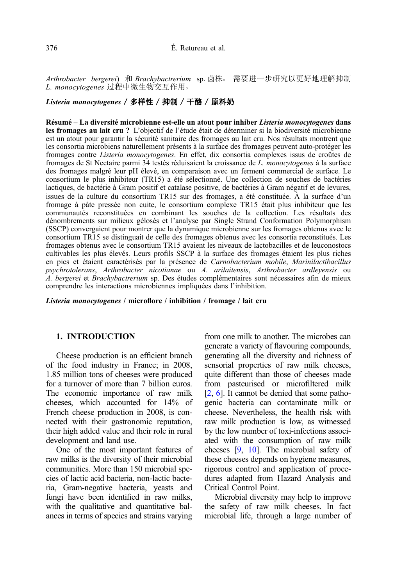Arthrobacter bergerei) 和 Brachybactrerium sp. 菌株。 需要讲一步研究以更好地理解抑制 L. monocytogenes 过程中微生物交互作用。

# Listeria monocytogenes / 多样性 / 抑制 / 干酪 / 原料奶

Résumé – La diversité microbienne est-elle un atout pour inhiber Listeria monocytogenes dans les fromages au lait cru ? L'objectif de l'étude était de déterminer si la biodiversité microbienne est un atout pour garantir la sécurité sanitaire des fromages au lait cru. Nos résultats montrent que les consortia microbiens naturellement présents à la surface des fromages peuvent auto-protéger les fromages contre Listeria monocytogenes. En effet, dix consortia complexes issus de croûtes de fromages de St Nectaire parmi 34 testés réduisaient la croissance de L. monocytogenes à la surface des fromages malgré leur pH élevé, en comparaison avec un ferment commercial de surface. Le consortium le plus inhibiteur (TR15) a été sélectionné. Une collection de souches de bactéries lactiques, de bactérie à Gram positif et catalase positive, de bactéries à Gram négatif et de levures, issues de la culture du consortium TR15 sur des fromages, a été constituée. À la surface d'un fromage à pâte pressée non cuite, le consortium complexe TR15 était plus inhibiteur que les communautés reconstituées en combinant les souches de la collection. Les résultats des dénombrements sur milieux gélosés et l'analyse par Single Strand Conformation Polymorphism (SSCP) convergaient pour montrer que la dynamique microbienne sur les fromages obtenus avec le consortium TR15 se distinguait de celle des fromages obtenus avec les consortia reconstitués. Les fromages obtenus avec le consortium TR15 avaient les niveaux de lactobacilles et de leuconostocs cultivables les plus élevés. Leurs profils SSCP à la surface des fromages étaient les plus riches en pics et étaient caractérisés par la présence de Carnobacterium mobile, Marinilactibacillus psychrotolerans, Arthrobacter nicotianae ou A. arilaitensis, Arthrobacter ardleyensis ou A. bergerei et Brachybactrerium sp. Des études complémentaires sont nécessaires afin de mieux comprendre les interactions microbiennes impliquées dans l'inhibition.

Listeria monocytogenes / microflore / inhibition / fromage / lait cru

#### 1. INTRODUCTION

Cheese production is an efficient branch of the food industry in France; in 2008, 1.85 million tons of cheeses were produced for a turnover of more than 7 billion euros. The economic importance of raw milk cheeses, which accounted for 14% of French cheese production in 2008, is connected with their gastronomic reputation, their high added value and their role in rural development and land use.

One of the most important features of raw milks is the diversity of their microbial communities. More than 150 microbial species of lactic acid bacteria, non-lactic bacteria, Gram-negative bacteria, yeasts and fungi have been identified in raw milks, with the qualitative and quantitative balances in terms of species and strains varying from one milk to another. The microbes can generate a variety of flavouring compounds, generating all the diversity and richness of sensorial properties of raw milk cheeses, quite different than those of cheeses made from pasteurised or microfiltered milk [[2](#page-22-0), [6\]](#page-22-0). It cannot be denied that some pathogenic bacteria can contaminate milk or cheese. Nevertheless, the health risk with raw milk production is low, as witnessed by the low number of toxi-infections associated with the consumption of raw milk cheeses [\[9](#page-22-0), [10\]](#page-22-0). The microbial safety of these cheeses depends on hygiene measures, rigorous control and application of procedures adapted from Hazard Analysis and Critical Control Point.

Microbial diversity may help to improve the safety of raw milk cheeses. In fact microbial life, through a large number of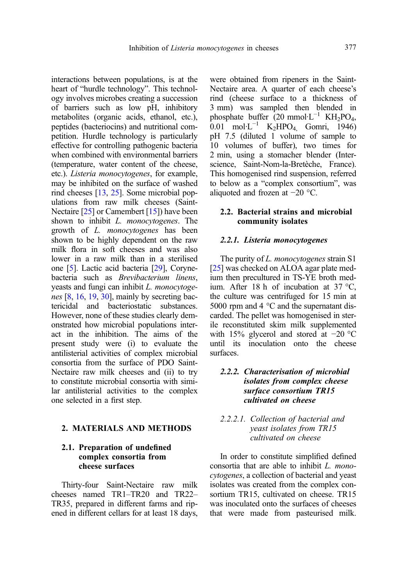interactions between populations, is at the heart of "hurdle technology". This technology involves microbes creating a succession of barriers such as low pH, inhibitory metabolites (organic acids, ethanol, etc.), peptides (bacteriocins) and nutritional competition. Hurdle technology is particularly effective for controlling pathogenic bacteria when combined with environmental barriers (temperature, water content of the cheese, etc.). Listeria monocytogenes, for example, may be inhibited on the surface of washed rind cheeses [\[13](#page-22-0), [25](#page-23-0)]. Some microbial populations from raw milk cheeses (Saint-Nectaire [\[25\]](#page-23-0) or Camembert [[15](#page-22-0)]) have been shown to inhibit *L. monocytogenes*. The growth of L. monocytogenes has been shown to be highly dependent on the raw milk flora in soft cheeses and was also lower in a raw milk than in a sterilised one [\[5](#page-22-0)]. Lactic acid bacteria [\[29\]](#page-23-0), Corynebacteria such as Brevibacterium linens, yeasts and fungi can inhibit L. monocytogenes  $[8, 16, 19, 30]$  $[8, 16, 19, 30]$  $[8, 16, 19, 30]$  $[8, 16, 19, 30]$  $[8, 16, 19, 30]$  $[8, 16, 19, 30]$  $[8, 16, 19, 30]$ , mainly by secreting bactericidal and bacteriostatic substances. However, none of these studies clearly demonstrated how microbial populations interact in the inhibition. The aims of the present study were (i) to evaluate the antilisterial activities of complex microbial consortia from the surface of PDO Saint-Nectaire raw milk cheeses and (ii) to try to constitute microbial consortia with similar antilisterial activities to the complex one selected in a first step.

# 2. MATERIALS AND METHODS

# 2.1. Preparation of undefined complex consortia from cheese surfaces

Thirty-four Saint-Nectaire raw milk cheeses named TR1–TR20 and TR22– TR35, prepared in different farms and ripened in different cellars for at least 18 days, were obtained from ripeners in the Saint-Nectaire area. A quarter of each cheese's rind (cheese surface to a thickness of 3 mm) was sampled then blended in phosphate buffer  $(20 \text{ mmol·L}^{-1} \text{ KH}_2\text{PO}_4$ , 0.01 mol·L<sup>-1</sup> K<sub>2</sub>HPO<sub>4</sub> Gomri, 1946) pH 7.5 (diluted 1 volume of sample to 10 volumes of buffer), two times for 2 min, using a stomacher blender (Interscience, Saint-Nom-la-Bretèche, France). This homogenised rind suspension, referred to below as a "complex consortium", was aliquoted and frozen at −20 °C.

# 2.2. Bacterial strains and microbial community isolates

#### 2.2.1. Listeria monocytogenes

The purity of *L. monocytogenes* strain S1 [[25\]](#page-23-0) was checked on ALOA agar plate medium then precultured in TS-YE broth medium. After 18 h of incubation at 37 °C, the culture was centrifuged for 15 min at 5000 rpm and 4 °C and the supernatant discarded. The pellet was homogenised in sterile reconstituted skim milk supplemented with 15% glycerol and stored at −20 °C until its inoculation onto the cheese surfaces.

# 2.2.2. Characterisation of microbial isolates from complex cheese surface consortium TR15 cultivated on cheese

# 2.2.2.1. Collection of bacterial and yeast isolates from TR15 cultivated on cheese

In order to constitute simplified defined consortia that are able to inhibit L. monocytogenes, a collection of bacterial and yeast isolates was created from the complex consortium TR15, cultivated on cheese. TR15 was inoculated onto the surfaces of cheeses that were made from pasteurised milk.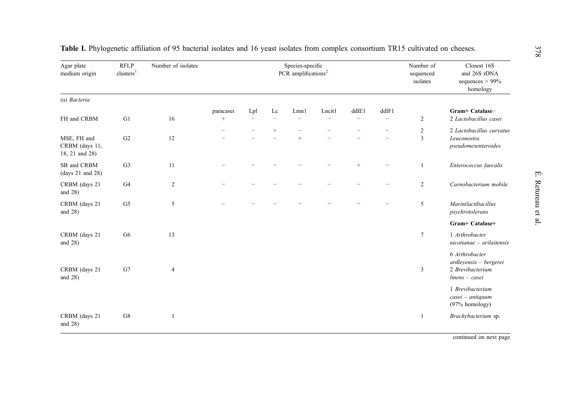| Agar plate<br>medium origin                     | <b>RFLP</b><br>clusters <sup>1</sup> | Number of isolates |                   |                          |                          | Species-specific<br>PCR amplifications <sup>2</sup> |                          |                          |                          | Number of<br>sequenced<br>isolates | Closest 16S<br>and 26S rDNA<br>sequences $> 99\%$<br>homology                    |
|-------------------------------------------------|--------------------------------------|--------------------|-------------------|--------------------------|--------------------------|-----------------------------------------------------|--------------------------|--------------------------|--------------------------|------------------------------------|----------------------------------------------------------------------------------|
| (a) Bacteria                                    |                                      |                    |                   |                          |                          |                                                     |                          |                          |                          |                                    |                                                                                  |
|                                                 |                                      |                    | paracasei         | Lpl                      | Lc                       | Lmn1                                                | Lncitl                   | dd1E1                    | ddlF1                    |                                    | Gram+ Catalase-                                                                  |
| FH and CRBM                                     | G1                                   | 16                 | $\qquad \qquad +$ | $\overline{\phantom{0}}$ | $\overline{\phantom{0}}$ | $\overline{\phantom{a}}$                            | $\overline{\phantom{0}}$ | $\overline{\phantom{a}}$ | $\overline{\phantom{0}}$ | $\overline{c}$                     | 2 Lactobacillus casei                                                            |
|                                                 |                                      |                    |                   |                          | $^{+}$                   |                                                     |                          |                          |                          | $\overline{c}$                     | 2 Lactobacillus curvatus                                                         |
| MSE, FH and<br>CRBM (days 11,<br>18, 21 and 28) | G2                                   | 12                 |                   |                          |                          | $^{+}$                                              |                          |                          |                          | 3                                  | Leuconostoc<br>pseudomesenteroides                                               |
| SB and CRBM<br>(days 21 and 28)                 | G <sub>3</sub>                       | 11                 |                   |                          |                          |                                                     |                          | $\qquad \qquad +$        |                          | 1                                  | Enterococcus faecalis                                                            |
| CRBM (days 21<br>and $28$ )                     | G <sub>4</sub>                       | 2                  |                   |                          |                          |                                                     |                          |                          |                          | $\overline{c}$                     | Carnobacterium mobile                                                            |
| CRBM (days 21<br>and $28$ )                     | G5                                   | 5                  |                   |                          |                          |                                                     |                          |                          |                          | 5                                  | Marinilactibacillus<br>psychrotolerans                                           |
|                                                 |                                      |                    |                   |                          |                          |                                                     |                          |                          |                          |                                    | Gram+ Catalase+                                                                  |
| CRBM (days 21<br>and $28$ )                     | G <sub>6</sub>                       | 13                 |                   |                          |                          |                                                     |                          |                          |                          | $\overline{7}$                     | 1 Arthrobacter<br>$nicotianae - arilaitensis$                                    |
| CRBM (days 21<br>and $28$ )                     | G7                                   | $\overline{4}$     |                   |                          |                          |                                                     |                          |                          |                          | 3                                  | 6 Arthrobacter<br>ardleyensis - bergerei<br>2 Brevibacterium<br>$linens - casei$ |
|                                                 |                                      |                    |                   |                          |                          |                                                     |                          |                          |                          |                                    | 1 Brevibacterium<br>casei - antiquum<br>(97% homology)                           |
| CRBM (days 21<br>and $28$ )                     | G8                                   | 1                  |                   |                          |                          |                                                     |                          |                          |                          | 1                                  | Brachybacterium sp.                                                              |

<span id="page-3-0"></span>Table I. Phylogenetic affiliation of 95 bacterial isolates and 16 yeas<sup>t</sup> isolates from complex consortium TR15 cultivated on cheeses.

continued on next page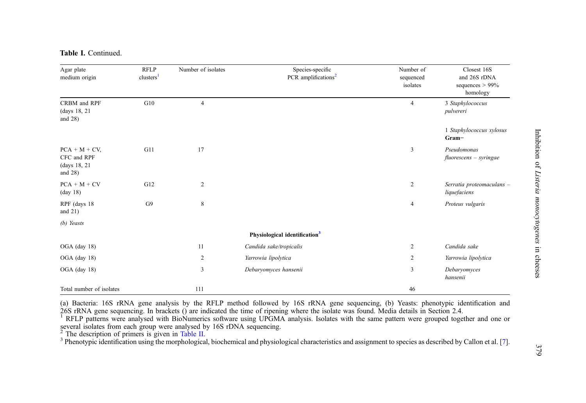|  | Table I. Continued. |
|--|---------------------|
|  |                     |

| Agar plate<br>medium origin                                 | <b>RFLP</b><br>clusters <sup>1</sup> | Number of isolates | Species-specific<br>PCR amplifications <sup>2</sup> | Number of<br>sequenced<br>isolates | Closest 16S<br>and 26S rDNA<br>sequences $> 99\%$<br>homology |
|-------------------------------------------------------------|--------------------------------------|--------------------|-----------------------------------------------------|------------------------------------|---------------------------------------------------------------|
| CRBM and RPF<br>(days 18, 21<br>and $28$ )                  | G10                                  | $\overline{4}$     |                                                     | $\overline{4}$                     | 3 Staphylococcus<br>pulvereri                                 |
|                                                             |                                      |                    |                                                     |                                    | 1 Staphylococcus xylosus<br>Gram-                             |
| $PCA + M + CV$<br>CFC and RPF<br>(days 18, 21<br>and $28$ ) | G11                                  | 17                 |                                                     | 3                                  | Pseudomonas<br>$fluorescens - syringae$                       |
| $PCA + M + CV$<br>$(\text{day } 18)$                        | G12                                  | $\overline{c}$     |                                                     | $\boldsymbol{2}$                   | Serratia proteomaculans -<br>liquefaciens                     |
| RPF (days 18<br>and $21$ )                                  | G9                                   | $\,8\,$            |                                                     | $\overline{4}$                     | Proteus vulgaris                                              |
| (b) Yeasts                                                  |                                      |                    |                                                     |                                    |                                                               |
|                                                             |                                      |                    | Physiological identification <sup>3</sup>           |                                    |                                                               |
| OGA (day 18)                                                |                                      | 11                 | Candida sake/tropicalis                             | $\overline{c}$                     | Candida sake                                                  |
| OGA (day 18)                                                |                                      | 2                  | Yarrowia lipolytica                                 | $\overline{c}$                     | Yarrowia lipolytica                                           |
| OGA (day 18)                                                |                                      | 3                  | Debaryomyces hansenii                               | 3                                  | Debaryomyces<br>hansenii                                      |
| Total number of isolates                                    |                                      | 111                |                                                     | 46                                 |                                                               |

(a) Bacteria: 16S rRNA gene analysis by the RFLP method followed by 16S rRNA gene sequencing, (b) Yeasts: phenotypic identification and 26S rRNA gene sequencing. In brackets () are indicated the time of ripening where the isolate was found. Media details in Section 2.4.<br><sup>1</sup> RFLP patterns were analysed with BioNumerics software using UPGMA analysis. Isolate

several isolates from each group were analysed by  $16S$  rDNA sequencing.

<sup>2</sup> The description of primers is given in [Table](#page-5-0) II.<br><sup>3</sup> Phenotypic identification using the morphological, biochemical and physiological characteristics and assignment to species as described by Callon et al. [[7](#page-22-0)].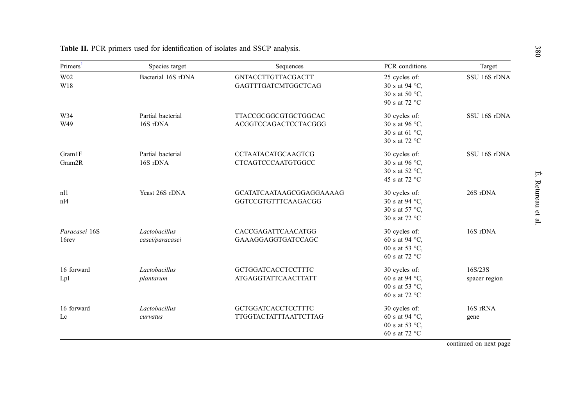| Primers <sup>1</sup>   | Species target                   | Sequences                                               | PCR conditions                                                              | Target                   |
|------------------------|----------------------------------|---------------------------------------------------------|-----------------------------------------------------------------------------|--------------------------|
| W <sub>02</sub><br>W18 | Bacterial 16S rDNA               | <b>GNTACCTTGTTACGACTT</b><br>GAGTTTGATCMTGGCTCAG        | 25 cycles of:<br>30 s at 94 °C,<br>30 s at 50 °C,<br>90 s at 72 °C          | SSU 16S rDNA             |
| W34<br>W49             | Partial bacterial<br>16S rDNA    | TTACCGCGGCGTGCTGGCAC<br>ACGGTCCAGACTCCTACGGG            | 30 cycles of:<br>30 s at 96 °C,<br>30 s at 61 °C,<br>30 s at 72 °C          | SSU 16S rDNA             |
| Gram1F<br>Gram2R       | Partial bacterial<br>16S rDNA    | <b>CCTAATACATGCAAGTCG</b><br>CTCAGTCCCAATGTGGCC         | 30 cycles of:<br>30 s at 96 $\degree$ C,<br>30 s at 52 °C,<br>45 s at 72 °C | SSU 16S rDNA             |
| n11<br>nl4             | Yeast 26S rDNA                   | GCATATCAATAAGCGGAGGAAAAG<br>GGTCCGTGTTTCAAGACGG         | 30 cycles of:<br>30 s at 94 °C,<br>30 s at 57 °C,<br>30 s at 72 °C          | 26S rDNA                 |
| Paracasei 16S<br>16rev | Lactobacillus<br>casei/paracasei | CACCGAGATTCAACATGG<br>GAAAGGAGGTGATCCAGC                | 30 cycles of:<br>60 s at 94 °C,<br>00 s at 53 °C,<br>60 s at 72 °C          | 16S rDNA                 |
| 16 forward<br>Lpl      | Lactobacillus<br>plantarum       | <b>GCTGGATCACCTCCTTTC</b><br><b>ATGAGGTATTCAACTTATT</b> | 30 cycles of:<br>60 s at 94 °C,<br>00 s at 53 $\degree$ C,<br>60 s at 72 °C | 16S/23S<br>spacer region |
| 16 forward<br>Lc       | Lactobacillus<br>curvatus        | <b>GCTGGATCACCTCCTTTC</b><br>TTGGTACTATTTAATTCTTAG      | 30 cycles of:<br>60 s at 94 °C,<br>00 s at 53 °C,<br>60 s at 72 °C          | 16S rRNA<br>gene         |

<span id="page-5-0"></span>Table II. PCR primers used for identification of isolates and SSCP analysis.

continued on next page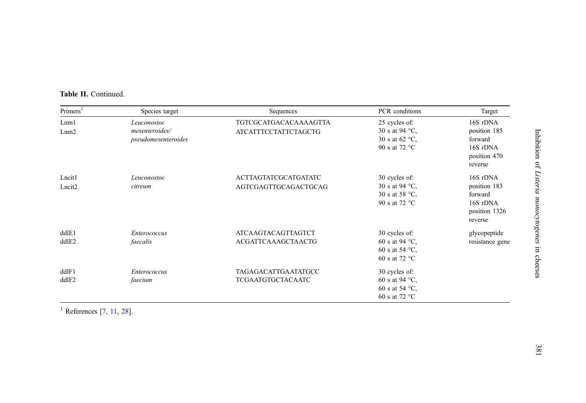<span id="page-6-0"></span>

| <b>Table II.</b> Continued. |  |
|-----------------------------|--|
|-----------------------------|--|

| Primers <sup>1</sup> | Species target      | Sequences                    | PCR conditions           | Target          |
|----------------------|---------------------|------------------------------|--------------------------|-----------------|
| Lnm1                 | Leuconostoc         | <b>TGTCGCATGACACAAAAGTTA</b> | 25 cycles of:            | 16S rDNA        |
| Lnm2                 | mesenteroides/      | <b>ATCATTTCCTATTCTAGCTG</b>  | 30 s at 94 °C,           | position 185    |
|                      | pseudomesenteroides |                              | 30 s at 62 $\degree$ C,  | forward         |
|                      |                     |                              | 90 s at 72 °C            | 16S rDNA        |
|                      |                     |                              |                          | position 470    |
|                      |                     |                              |                          | reverse         |
| Lncit1               | Leuconostoc         | <b>ACTTAGTATCGCATGATATC</b>  | 30 cycles of:            | 16S rDNA        |
| Lncit <sub>2</sub>   | citreum             | AGTCGAGTTGCAGACTGCAG         | 30 s at 94 °C,           | position 183    |
|                      |                     |                              | 30 s at 58 °C,           | forward         |
|                      |                     |                              | 90 s at 72 °C            | 16S rDNA        |
|                      |                     |                              |                          | position 1326   |
|                      |                     |                              |                          | reverse         |
| dd1E1                | <i>Enterococcus</i> | <b>ATCAAGTACAGTTAGTCT</b>    | 30 cycles of:            | glycopeptide    |
| ddlE2                | faecalis            | <b>ACGATTCAAAGCTAACTG</b>    | 60 s at 94 $\degree$ C,  | resistance gene |
|                      |                     |                              | 60 s at 54 $^{\circ}$ C, |                 |
|                      |                     |                              | 60 s at 72 $^{\circ}$ C  |                 |
| ddlF1                | <i>Enterococcus</i> | TAGAGACATTGAATATGCC          | 30 cycles of:            |                 |
| ddlF2                | faecium             | TCGAATGTGCTACAATC            | 60 s at 94 $\degree$ C,  |                 |
|                      |                     |                              | 60 s at 54 $^{\circ}$ C, |                 |
|                      |                     |                              | 60 s at 72 °C            |                 |

<sup>1</sup> References  $[7, 11, 28]$  $[7, 11, 28]$  $[7, 11, 28]$  $[7, 11, 28]$  $[7, 11, 28]$  $[7, 11, 28]$  $[7, 11, 28]$ .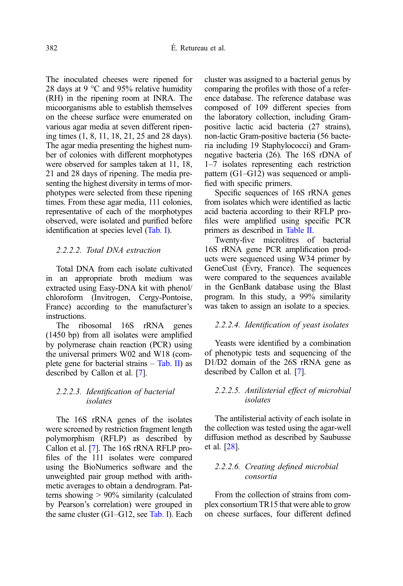The inoculated cheeses were ripened for 28 days at 9  $\degree$ C and 95% relative humidity (RH) in the ripening room at INRA. The micoorganisms able to establish themselves on the cheese surface were enumerated on various agar media at seven different ripening times (1, 8, 11, 18, 21, 25 and 28 days). The agar media presenting the highest number of colonies with different morphotypes were observed for samples taken at 11, 18, 21 and 28 days of ripening. The media presenting the highest diversity in terms of morphotypes were selected from these ripening times. From these agar media, 111 colonies, representative of each of the morphotypes observed, were isolated and purified before identification at species level [\(Tab. I](#page-3-0)).

# 2.2.2.2. Total DNA extraction

Total DNA from each isolate cultivated in an appropriate broth medium was extracted using Easy-DNA kit with phenol/ chloroform (Invitrogen, Cergy-Pontoise, France) according to the manufacturer's instructions.

The ribosomal 16S rRNA genes (1450 bp) from all isolates were amplified by polymerase chain reaction (PCR) using the universal primers W02 and W18 (complete gene for bacterial strains – [Tab. II\)](#page-5-0) as described by Callon et al. [[7\]](#page-22-0).

# 2.2.2.3. Identification of bacterial isolates

The 16S rRNA genes of the isolates were screened by restriction fragment length polymorphism (RFLP) as described by Callon et al. [\[7](#page-22-0)]. The 16S rRNA RFLP profiles of the 111 isolates were compared using the BioNumerics software and the unweighted pair group method with arithmetic averages to obtain a dendrogram. Patterns showing > 90% similarity (calculated by Pearson's correlation) were grouped in the same cluster  $(G1-G12, \text{see } \text{Tab}$ . I). Each cluster was assigned to a bacterial genus by comparing the profiles with those of a reference database. The reference database was composed of 109 different species from the laboratory collection, including Grampositive lactic acid bacteria (27 strains), non-lactic Gram-positive bacteria (56 bacteria including 19 Staphylococci) and Gramnegative bacteria (26). The 16S rDNA of 1–7 isolates representing each restriction pattern (G1–G12) was sequenced or amplified with specific primers.

Specific sequences of 16S rRNA genes from isolates which were identified as lactic acid bacteria according to their RFLP profiles were amplified using specific PCR primers as described in [Table II](#page-5-0).

Twenty-five microlitres of bacterial 16S rRNA gene PCR amplification products were sequenced using W34 primer by GeneCust (Évry, France). The sequences were compared to the sequences available in the GenBank database using the Blast program. In this study, a 99% similarity was taken to assign an isolate to a species.

#### 2.2.2.4. Identification of yeast isolates

Yeasts were identified by a combination of phenotypic tests and sequencing of the D1/D2 domain of the 26S rRNA gene as described by Callon et al. [\[7\]](#page-22-0).

#### 2.2.2.5. Antilisterial effect of microbial isolates

The antilisterial activity of each isolate in the collection was tested using the agar-well diffusion method as described by Saubusse et al. [\[28\]](#page-23-0).

#### 2.2.2.6. Creating defined microbial consortia

From the collection of strains from complex consortium TR15 that were able to grow on cheese surfaces, four different defined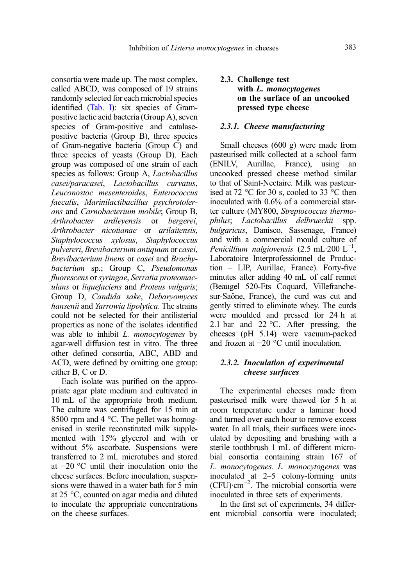consortia were made up. The most complex, called ABCD, was composed of 19 strains randomly selected for each microbial species identified [\(Tab. I\)](#page-3-0): six species of Grampositive lactic acid bacteria (Group A), seven species of Gram-positive and catalasepositive bacteria (Group B), three species of Gram-negative bacteria (Group C) and three species of yeasts (Group D). Each group was composed of one strain of each species as follows: Group A, *Lactobacillus* casei/paracasei, Lactobacillus curvatus, Leuconostoc mesenteroides, Enterococcus faecalis, Marinilactibacillus psychrotolerans and Carnobacterium mobile; Group B, Arthrobacter ardleyensis or bergerei, Arthrobacter nicotianae or arilaitensis, Staphylococcus xylosus, Staphylococcus pulvereri, Brevibacterium antiquum or casei, Brevibacterium linens or casei and Brachybacterium sp.; Group C, Pseudomonas fluorescens or syringae, Serratia proteomaculans or liquefaciens and Proteus vulgaris; Group D, Candida sake, Debaryomyces hansenii and Yarrowia lipolytica. The strains could not be selected for their antilisterial properties as none of the isolates identified was able to inhibit *L. monocytogenes* by agar-well diffusion test in vitro. The three other defined consortia, ABC, ABD and ACD, were defined by omitting one group: either B, C or D.

Each isolate was purified on the appropriate agar plate medium and cultivated in 10 mL of the appropriate broth medium. The culture was centrifuged for 15 min at 8500 rpm and 4 °C. The pellet was homogenised in sterile reconstituted milk supplemented with 15% glycerol and with or without 5% ascorbate. Suspensions were transferred to 2 mL microtubes and stored at −20 °C until their inoculation onto the cheese surfaces. Before inoculation, suspensions were thawed in a water bath for 5 min at 25 °C, counted on agar media and diluted to inoculate the appropriate concentrations on the cheese surfaces.

# 2.3. Challenge test with L. monocytogenes on the surface of an uncooked pressed type cheese

#### 2.3.1. Cheese manufacturing

Small cheeses (600 g) were made from pasteurised milk collected at a school farm (ENILV, Aurillac, France), using an uncooked pressed cheese method similar to that of Saint-Nectaire. Milk was pasteurised at 72 °C for 30 s, cooled to 33 °C then inoculated with 0.6% of a commercial starter culture (MY800, Streptococcus thermophilus; Lactobacillus delbrueckii spp. bulgaricus, Danisco, Sassenage, France) and with a commercial mould culture of Penicillium nalgiovensis (2.5 mL $\cdot$ 200 L<sup>-1</sup>, Laboratoire Interprofessionnel de Production – LIP, Aurillac, France). Forty-five minutes after adding 40 mL of calf rennet (Beaugel 520-Ets Coquard, Villefranchesur-Saône, France), the curd was cut and gently stirred to eliminate whey. The curds were moulded and pressed for 24 h at 2.1 bar and 22 °C. After pressing, the cheeses (pH 5.14) were vacuum-packed and frozen at −20 °C until inoculation.

# 2.3.2. Inoculation of experimental cheese surfaces

The experimental cheeses made from pasteurised milk were thawed for 5 h at room temperature under a laminar hood and turned over each hour to remove excess water. In all trials, their surfaces were inoculated by depositing and brushing with a sterile toothbrush 1 mL of different microbial consortia containing strain 167 of L. monocytogenes. L. monocytogenes was inoculated at 2–5 colony-forming units (CFU)·cm−<sup>2</sup> . The microbial consortia were inoculated in three sets of experiments.

In the first set of experiments, 34 different microbial consortia were inoculated;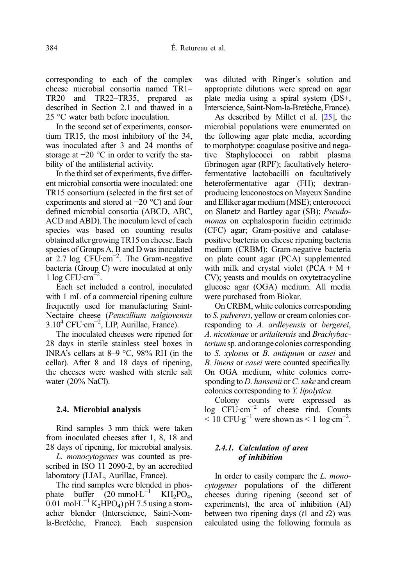corresponding to each of the complex cheese microbial consortia named TR1– TR20 and TR22–TR35, prepared as described in Section 2.1 and thawed in a 25 °C water bath before inoculation.

In the second set of experiments, consortium TR15, the most inhibitory of the 34, was inoculated after 3 and 24 months of storage at −20 °C in order to verify the stability of the antilisterial activity.

In the third set of experiments, five different microbial consortia were inoculated: one TR15 consortium (selected in the first set of experiments and stored at −20 °C) and four defined microbial consortia (ABCD, ABC, ACD and ABD). The inoculum level of each species was based on counting results obtained after growing TR15 on cheese. Each species of Groups A, B and D was inoculated at 2.7 log  $CFU$ ·cm<sup>-2</sup>. The Gram-negative bacteria (Group C) were inoculated at only  $1 \log CFU \cdot cm^{-2}$ .

Each set included a control, inoculated with 1 mL of a commercial ripening culture frequently used for manufacturing Saint-Nectaire cheese (Penicillium nalgiovensis 3.104 CFU·cm−<sup>2</sup> , LIP, Aurillac, France).

The inoculated cheeses were ripened for 28 days in sterile stainless steel boxes in INRA's cellars at 8–9 °C, 98% RH (in the cellar). After 8 and 18 days of ripening, the cheeses were washed with sterile salt water (20% NaCl).

# 2.4. Microbial analysis

Rind samples 3 mm thick were taken from inoculated cheeses after 1, 8, 18 and 28 days of ripening, for microbial analysis.

L. monocytogenes was counted as prescribed in ISO 11 2090-2, by an accredited laboratory (LIAL, Aurillac, France).

The rind samples were blended in phosphate buffer  $(20 \text{ mmol} \cdot L^{-1} \text{ KH}_2\text{PO}_4)$ , 0.01 mol·L<sup>-1</sup> K<sub>2</sub>HPO<sub>4</sub>) pH 7.5 using a stomacher blender (Interscience, Saint-Nomla-Bretèche, France). Each suspension was diluted with Ringer's solution and appropriate dilutions were spread on agar plate media using a spiral system (DS+, Interscience, Saint-Nom-la-Bretèche, France).

As described by Millet et al. [\[25\]](#page-23-0), the microbial populations were enumerated on the following agar plate media, according to morphotype: coagulase positive and negative Staphylococci on rabbit plasma fibrinogen agar (RPF); facultatively heterofermentative lactobacilli on facultatively heterofermentative agar (FH); dextranproducing leuconostocs on Mayeux Sandine and Elliker agar medium (MSE); enterococci on Slanetz and Bartley agar (SB); Pseudomonas on cephalosporin fucidin cetrimide (CFC) agar; Gram-positive and catalasepositive bacteria on cheese ripening bacteria medium (CRBM); Gram-negative bacteria on plate count agar (PCA) supplemented with milk and crystal violet  $(PCA + M +$ CV); yeasts and moulds on oxytetracycline glucose agar (OGA) medium. All media were purchased from Biokar.

On CRBM, white colonies corresponding to S. pulvereri, yellow or cream colonies corresponding to A. ardleyensis or bergerei, A. nicotianae or arilaitensis and Brachybacteriumsp. and orange colonies corresponding to S. xylosus or B. antiquum or casei and B. linens or casei were counted specifically. On OGA medium, white colonies corresponding to  $D$ . hansenii or  $C$ . sake and cream colonies corresponding to Y. lipolytica.

Colony counts were expressed as log CFU·cm−<sup>2</sup> of cheese rind. Counts  $<$  10 CFU·g<sup>-1</sup> were shown as  $<$  1 log·cm<sup>-2</sup>.

# 2.4.1. Calculation of area of inhibition

In order to easily compare the L. *mono*cytogenes populations of the different cheeses during ripening (second set of experiments), the area of inhibition (AI) between two ripening days  $(t1 \text{ and } t2)$  was calculated using the following formula as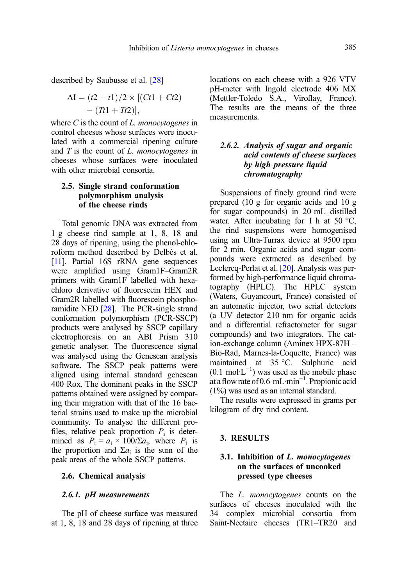described by Saubusse et al. [\[28\]](#page-23-0)

AI = 
$$
(t2 - t1)/2 \times [(Ct1 + Ct2)
$$
  
–  $(Tt1 + Tt2)],$ 

where  $C$  is the count of  $L$ . *monocytogenes* in control cheeses whose surfaces were inoculated with a commercial ripening culture and  $T$  is the count of  $L$ . monocytogenes in cheeses whose surfaces were inoculated with other microbial consortia.

# 2.5. Single strand conformation polymorphism analysis of the cheese rinds

Total genomic DNA was extracted from 1 g cheese rind sample at 1, 8, 18 and 28 days of ripening, using the phenol-chloroform method described by Delbès et al. [[11\]](#page-22-0). Partial 16S rRNA gene sequences were amplified using Gram1F–Gram2R primers with Gram1F labelled with hexachloro derivative of fluorescein HEX and Gram2R labelled with fluorescein phosphoramidite NED [\[28\]](#page-23-0). The PCR-single strand conformation polymorphism (PCR-SSCP) products were analysed by SSCP capillary electrophoresis on an ABI Prism 310 genetic analyser. The fluorescence signal was analysed using the Genescan analysis software. The SSCP peak patterns were aligned using internal standard genescan 400 Rox. The dominant peaks in the SSCP patterns obtained were assigned by comparing their migration with that of the 16 bacterial strains used to make up the microbial community. To analyse the different profiles, relative peak proportion  $P_i$  is determined as  $P_i = a_i \times 100/\Sigma a_i$ , where  $P_i$  is the proportion and  $\Sigma a_i$  is the sum of the peak areas of the whole SSCP patterns.

#### 2.6. Chemical analysis

# 2.6.1. pH measurements

The pH of cheese surface was measured at 1, 8, 18 and 28 days of ripening at three locations on each cheese with a 926 VTV pH-meter with Ingold electrode 406 MX (Mettler-Toledo S.A., Viroflay, France). The results are the means of the three measurements.

# 2.6.2. Analysis of sugar and organic acid contents of cheese surfaces by high pressure liquid chromatography

Suspensions of finely ground rind were prepared (10 g for organic acids and 10 g for sugar compounds) in 20 mL distilled water. After incubating for 1 h at 50  $^{\circ}$ C, the rind suspensions were homogenised using an Ultra-Turrax device at 9500 rpm for 2 min. Organic acids and sugar compounds were extracted as described by Leclercq-Perlat et al. [\[20\]](#page-23-0). Analysis was performed by high-performance liquid chromatography (HPLC). The HPLC system (Waters, Guyancourt, France) consisted of an automatic injector, two serial detectors (a UV detector 210 nm for organic acids and a differential refractometer for sugar compounds) and two integrators. The cation-exchange column (Aminex HPX-87H – Bio-Rad, Marnes-la-Coquette, France) was maintained at 35 °C. Sulphuric acid  $(0.1 \text{ mol·L}^{-1})$  was used as the mobile phase at aflow rate of 0.6 mL·min−<sup>1</sup> . Propionic acid (1%) was used as an internal standard.

The results were expressed in grams per kilogram of dry rind content.

# 3. RESULTS

# 3.1. Inhibition of L. monocytogenes on the surfaces of uncooked pressed type cheeses

The *L. monocytogenes* counts on the surfaces of cheeses inoculated with the 34 complex microbial consortia from Saint-Nectaire cheeses (TR1–TR20 and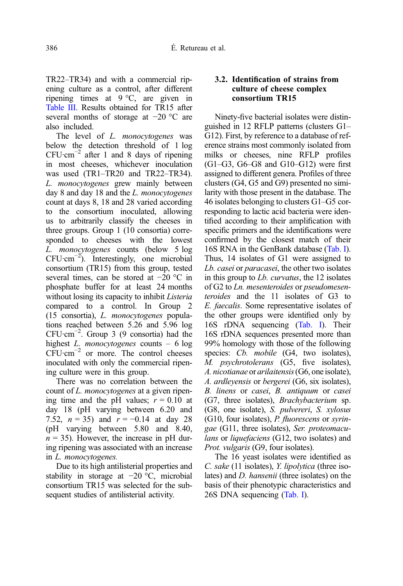TR22–TR34) and with a commercial ripening culture as a control, after different ripening times at 9 °C, are given in [Table III.](#page-12-0) Results obtained for TR15 after several months of storage at −20 °C are also included.

The level of *L. monocytogenes* was below the detection threshold of 1 log  $CFU·cm^{-2}$  after 1 and 8 days of ripening in most cheeses, whichever inoculation was used (TR1–TR20 and TR22–TR34). L. monocytogenes grew mainly between day 8 and day 18 and the L. monocytogenes count at days 8, 18 and 28 varied according to the consortium inoculated, allowing us to arbitrarily classify the cheeses in three groups. Group 1 (10 consortia) corresponded to cheeses with the lowest L. monocytogenes counts (below 5 log CFU·cm−<sup>2</sup> ). Interestingly, one microbial consortium (TR15) from this group, tested several times, can be stored at −20 °C in phosphate buffer for at least 24 months without losing its capacity to inhibit *Listeria* compared to a control. In Group 2 (15 consortia), L. monocytogenes populations reached between 5.26 and 5.96 log CFU·cm−<sup>2</sup> . Group 3 (9 consortia) had the highest *L. monocytogenes* counts – 6 log  $CFU·cm^{-2}$  or more. The control cheeses inoculated with only the commercial ripening culture were in this group.

There was no correlation between the count of L. *monocytogenes* at a given ripening time and the pH values;  $r = 0.10$  at day 18 (pH varying between 6.20 and 7.52,  $n = 35$ ) and  $r = -0.14$  at day 28 (pH varying between 5.80 and 8.40,  $n = 35$ ). However, the increase in pH during ripening was associated with an increase in L. monocytogenes.

Due to its high antilisterial properties and stability in storage at −20 °C, microbial consortium TR15 was selected for the subsequent studies of antilisterial activity.

# 3.2. Identification of strains from culture of cheese complex consortium TR15

Ninety-five bacterial isolates were distinguished in 12 RFLP patterns (clusters G1– G12). First, by reference to a database of reference strains most commonly isolated from milks or cheeses, nine RFLP profiles (G1–G3, G6–G8 and G10–G12) were first assigned to different genera. Profiles of three clusters (G4, G5 and G9) presented no similarity with those present in the database. The 46 isolates belonging to clusters G1–G5 corresponding to lactic acid bacteria were identified according to their amplification with specific primers and the identifications were confirmed by the closest match of their 16S RNA in the GenBank database ([Tab. I](#page-3-0)). Thus, 14 isolates of G1 were assigned to Lb. casei or paracasei, the other two isolates in this group to *Lb. curvatus*, the 12 isolates of G2 to Ln. mesenteroides or pseudomesenteroides and the 11 isolates of G3 to E. faecalis. Some representative isolates of the other groups were identified only by 16S rDNA sequencing [\(Tab. I\)](#page-3-0). Their 16S rDNA sequences presented more than 99% homology with those of the following species: *Cb. mobile* (G4, two isolates), M. psychrotolerans (G5, five isolates), A. nicotianae or arilaitensis(G6, one isolate), A. ardleyensis or bergerei (G6, six isolates), B. linens or casei, B. antiquum or casei (G7, three isolates), Brachybacterium sp. (G8, one isolate), S. pulvereri, S. xylosus (G10, four isolates), P. fluorescens or syringae (G11, three isolates), Ser. proteomaculans or liquefaciens (G12, two isolates) and Prot. vulgaris (G9, four isolates).

The 16 yeast isolates were identified as C. sake (11 isolates), Y. lipolytica (three isolates) and D. hansenii (three isolates) on the basis of their phenotypic characteristics and 26S DNA sequencing [\(Tab. I](#page-3-0)).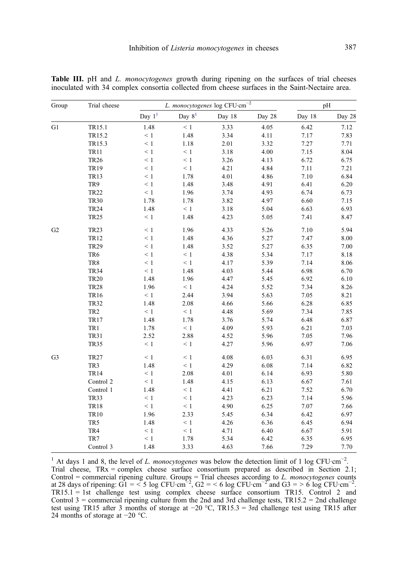| Group          | Trial cheese    |                        |             | L. monocytogenes log CFU·cm <sup>-2</sup> |        |        | pH     |
|----------------|-----------------|------------------------|-------------|-------------------------------------------|--------|--------|--------|
|                |                 | Day $\boldsymbol{1}^1$ | Day $8^1\,$ | Day 18                                    | Day 28 | Day 18 | Day 28 |
| G1             | TR15.1          | 1.48                   | $\leq 1$    | 3.33                                      | 4.05   | 6.42   | 7.12   |
|                | TR15.2          | $\leq 1$               | 1.48        | 3.34                                      | 4.11   | 7.17   | 7.83   |
|                | TR15.3          | $\leq 1$               | 1.18        | 2.01                                      | 3.32   | 7.27   | 7.71   |
|                | <b>TR11</b>     | $\leq 1$               | $\leq 1$    | 3.18                                      | 4.00   | 7.15   | 8.04   |
|                | <b>TR26</b>     | $\leq 1$               | $\leq 1$    | 3.26                                      | 4.13   | 6.72   | 6.75   |
|                | <b>TR19</b>     | $\leq 1$               | $\leq 1$    | 4.21                                      | 4.84   | 7.11   | 7.21   |
|                | <b>TR13</b>     | $\leq 1$               | 1.78        | 4.01                                      | 4.86   | 7.10   | 6.84   |
|                | TR9             | $\leq 1$               | 1.48        | 3.48                                      | 4.91   | 6.41   | 6.20   |
|                | <b>TR22</b>     | $\leq 1$               | 1.96        | 3.74                                      | 4.93   | 6.74   | 6.73   |
|                | <b>TR30</b>     | 1.78                   | 1.78        | 3.82                                      | 4.97   | 6.60   | 7.15   |
|                | <b>TR24</b>     | 1.48                   | $\leq 1$    | 3.18                                      | 5.04   | 6.63   | 6.93   |
|                | <b>TR25</b>     | $\leq 1$               | 1.48        | 4.23                                      | 5.05   | 7.41   | 8.47   |
| G2             | <b>TR23</b>     | $\leq 1$               | 1.96        | 4.33                                      | 5.26   | 7.10   | 5.94   |
|                | <b>TR12</b>     | $\leq 1$               | 1.48        | 4.36                                      | 5.27   | 7.47   | 8.00   |
|                | <b>TR29</b>     | $\leq 1$               | 1.48        | 3.52                                      | 5.27   | 6.35   | 7.00   |
|                | TR6             | $\leq 1$               | $\leq 1$    | 4.38                                      | 5.34   | 7.17   | 8.18   |
|                | TR8             | $\leq 1$               | $\leq 1$    | 4.17                                      | 5.39   | 7.14   | 8.06   |
|                | <b>TR34</b>     | $\leq 1$               | 1.48        | 4.03                                      | 5.44   | 6.98   | 6.70   |
|                | <b>TR20</b>     | 1.48                   | 1.96        | 4.47                                      | 5.45   | 6.92   | 6.10   |
|                | <b>TR28</b>     | 1.96                   | $\leq 1$    | 4.24                                      | 5.52   | 7.34   | 8.26   |
|                | <b>TR16</b>     | $\leq 1$               | 2.44        | 3.94                                      | 5.63   | 7.05   | 8.21   |
|                | <b>TR32</b>     | 1.48                   | 2.08        | 4.66                                      | 5.66   | 6.28   | 6.85   |
|                | TR <sub>2</sub> | $\leq 1$               | $\leq 1$    | 4.48                                      | 5.69   | 7.34   | 7.85   |
|                | <b>TR17</b>     | 1.48                   | 1.78        | 3.76                                      | 5.74   | 6.48   | 6.87   |
|                | TR1             | 1.78                   | $\leq 1$    | 4.09                                      | 5.93   | 6.21   | 7.03   |
|                | <b>TR31</b>     | 2.52                   | 2.88        | 4.52                                      | 5.96   | 7.05   | 7.96   |
|                | <b>TR35</b>     | $\leq 1$               | $\leq 1$    | 4.27                                      | 5.96   | 6.97   | 7.06   |
| G <sub>3</sub> | <b>TR27</b>     | $\leq 1$               | $\leq 1$    | 4.08                                      | 6.03   | 6.31   | 6.95   |
|                | TR3             | 1.48                   | $\leq 1$    | 4.29                                      | 6.08   | 7.14   | 6.82   |
|                | <b>TR14</b>     | $\leq 1$               | 2.08        | 4.01                                      | 6.14   | 6.93   | 5.80   |
|                | Control 2       | $\leq 1$               | 1.48        | 4.15                                      | 6.13   | 6.67   | 7.61   |
|                | Control 1       | 1.48                   | $\leq 1$    | 4.41                                      | 6.21   | 7.52   | 6.70   |
|                | <b>TR33</b>     | $\leq 1$               | $\leq 1$    | 4.23                                      | 6.23   | 7.14   | 5.96   |
|                | <b>TR18</b>     | $\leq 1$               | $\leq 1$    | 4.90                                      | 6.25   | 7.07   | 7.66   |
|                | <b>TR10</b>     | 1.96                   | 2.33        | 5.45                                      | 6.34   | 6.42   | 6.97   |
|                | TR5             | 1.48                   | $\leq 1$    | 4.26                                      | 6.36   | 6.45   | 6.94   |
|                | TR4             | $\leq 1$               | $\leq 1$    | 4.71                                      | 6.40   | 6.67   | 5.91   |
|                | TR7             | $\leq 1$               | 1.78        | 5.34                                      | 6.42   | 6.35   | 6.95   |
|                | Control 3       | 1.48                   | 3.33        | 4.63                                      | 7.66   | 7.29   | 7.70   |

<span id="page-12-0"></span>Table III. pH and L. monocytogenes growth during ripening on the surfaces of trial cheeses inoculated with 34 complex consortia collected from cheese surfaces in the Saint-Nectaire area.

<sup>1</sup> At days 1 and 8, the level of *L. monocytogenes* was below the detection limit of 1 log CFU·cm<sup>-2</sup>. Trial cheese, TRx = complex cheese surface consortium prepared as described in Section 2.1; Control = commercial ripening culture. Groups = Trial cheeses according to *L. monocytogenes* counts at 28 days of ripening: G1 = < 5 log CFU·cm<sup>-2</sup>, G2 = < 6 log CFU·cm<sup>-2</sup> and G3 = > 6 log CFU·cm<sup>-2</sup>. TR15.1 = 1st challenge test using complex cheese surface consortium TR15. Control 2 and Control  $3 =$  commercial ripening culture from the 2nd and 3rd challenge tests, TR15.2 = 2nd challenge test using TR15 after 3 months of storage at −20 °C, TR15.3 = 3rd challenge test using TR15 after 24 months of storage at −20 °C.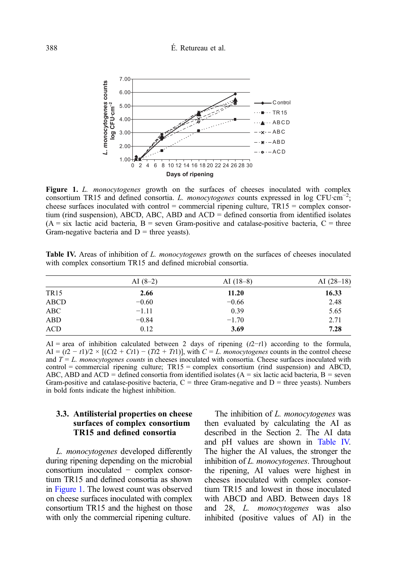

Figure 1. L. monocytogenes growth on the surfaces of cheeses inoculated with complex consortium TR15 and defined consortia. L. monocytogenes counts expressed in log CFU·cm<sup>-2</sup>; cheese surfaces inoculated with control = commercial ripening culture,  $TR15$  = complex consortium (rind suspension), ABCD, ABC, ABD and ACD = defined consortia from identified isolates  $(A = six$  lactic acid bacteria,  $B = s$ even Gram-positive and catalase-positive bacteria,  $C = th$ ree Gram-negative bacteria and  $D =$  three yeasts).

Table IV. Areas of inhibition of L. monocytogenes growth on the surfaces of cheeses inoculated with complex consortium TR15 and defined microbial consortia.

| AI $(8-2)$ | AI $(18-8)$ | AI $(28-18)$ |
|------------|-------------|--------------|
| 2.66       | 11.20       | 16.33        |
| $-0.60$    | $-0.66$     | 2.48         |
| $-1.11$    | 0.39        | 5.65         |
| $-0.84$    | $-1.70$     | 2.71         |
| 0.12       | 3.69        | 7.28         |
|            |             |              |

AI = area of inhibition calculated between 2 days of ripening  $(t2-t1)$  according to the formula,  $AI = (t2 - t1)/2 \times [(Ct2 + Ct1) - (Tt2 + Tt1)],$  with  $C = L$ . monocytogenes counts in the control cheese and  $T = L$ . monocytogenes counts in cheeses inoculated with consortia. Cheese surfaces inoculated with  $control = commercial ripening culture; TR15 = complex consortium (rind suspension) and ABCD,$ ABC, ABD and ACD = defined consortia from identified isolates  $(A = six$  lactic acid bacteria,  $B = s$ even Gram-positive and catalase-positive bacteria,  $C =$  three Gram-negative and  $D =$  three yeasts). Numbers in bold fonts indicate the highest inhibition.

# 3.3. Antilisterial properties on cheese surfaces of complex consortium TR15 and defined consortia

L. monocytogenes developed differently during ripening depending on the microbial consortium inoculated − complex consortium TR15 and defined consortia as shown in Figure 1. The lowest count was observed on cheese surfaces inoculated with complex consortium TR15 and the highest on those with only the commercial ripening culture.

The inhibition of L. monocytogenes was then evaluated by calculating the AI as described in the Section 2. The AI data and pH values are shown in Table IV. The higher the AI values, the stronger the inhibition of L. monocytogenes. Throughout the ripening, AI values were highest in cheeses inoculated with complex consortium TR15 and lowest in those inoculated with ABCD and ABD. Between days 18 and 28, L. monocytogenes was also inhibited (positive values of AI) in the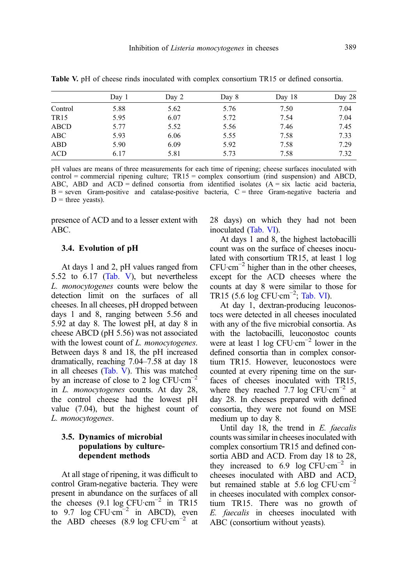|             | Day 1 | Day 2 | Day 8 | Day 18 | Day 28 |
|-------------|-------|-------|-------|--------|--------|
| Control     | 5.88  | 5.62  | 5.76  | 7.50   | 7.04   |
| <b>TR15</b> | 5.95  | 6.07  | 5.72  | 7.54   | 7.04   |
| ABCD        | 5.77  | 5.52  | 5.56  | 7.46   | 7.45   |
| ABC         | 5.93  | 6.06  | 5.55  | 7.58   | 7.33   |
| ABD         | 5.90  | 6.09  | 5.92  | 7.58   | 7.29   |
| ACD         | 6.17  | 5.81  | 5.73  | 7.58   | 7.32   |

Table V. pH of cheese rinds inoculated with complex consortium TR15 or defined consortia.

pH values are means of three measurements for each time of ripening; cheese surfaces inoculated with  $control = commercial ripening culture; TR15 = complex consortium (rind suspension) and ABCD,$ ABC, ABD and  $ACD =$  defined consortia from identified isolates  $(A = six$  lactic acid bacteria,  $B =$  seven Gram-positive and catalase-positive bacteria,  $C =$  three Gram-negative bacteria and  $D =$  three yeasts).

presence of ACD and to a lesser extent with ABC.

#### 3.4. Evolution of pH

At days 1 and 2, pH values ranged from 5.52 to 6.17 (Tab. V), but nevertheless L. monocytogenes counts were below the detection limit on the surfaces of all cheeses. In all cheeses, pH dropped between days 1 and 8, ranging between 5.56 and 5.92 at day 8. The lowest pH, at day 8 in cheese ABCD (pH 5.56) was not associated with the lowest count of L. monocytogenes. Between days 8 and 18, the pH increased dramatically, reaching 7.04–7.58 at day 18 in all cheeses (Tab. V). This was matched by an increase of close to 2 log CFU $\cdot$ cm<sup>-2</sup> in L. monocytogenes counts. At day 28, the control cheese had the lowest pH value (7.04), but the highest count of L. monocytogenes.

# 3.5. Dynamics of microbial populations by culturedependent methods

At all stage of ripening, it was difficult to control Gram-negative bacteria. They were present in abundance on the surfaces of all the cheeses (9.1 log  $CFU \cdot cm^{-2}$  in TR15 to 9.7  $\log$  CFU·cm<sup>-2</sup> in ABCD), even the ABD cheeses (8.9 log CFU $\cdot$ cm<sup>-2</sup> at 28 days) on which they had not been inoculated [\(Tab. VI](#page-15-0)).

At days 1 and 8, the highest lactobacilli count was on the surface of cheeses inoculated with consortium TR15, at least 1 log  $CFU·cm^{-2}$  higher than in the other cheeses, except for the ACD cheeses where the counts at day 8 were similar to those for TR15 (5.6  $log$  CFU·cm<sup>-2</sup>; [Tab. VI\)](#page-15-0).

At day 1, dextran-producing leuconostocs were detected in all cheeses inoculated with any of the five microbial consortia. As with the lactobacilli, leuconostoc counts were at least 1 log  $CFU \cdot cm^{-2}$  lower in the defined consortia than in complex consortium TR15. However, leuconostocs were counted at every ripening time on the surfaces of cheeses inoculated with TR15, where they reached 7.7 log CFU $\cdot$ cm<sup>-2</sup> at day 28. In cheeses prepared with defined consortia, they were not found on MSE medium up to day 8.

Until day 18, the trend in  $E$ . faecalis counts was similar in cheeses inoculated with complex consortium TR15 and defined consortia ABD and ACD. From day 18 to 28, they increased to 6.9 log  $CFU \cdot cm^{-2}$  in cheeses inoculated with ABD and ACD, but remained stable at 5.6 log CFU·cm−<sup>2</sup> in cheeses inoculated with complex consortium TR15. There was no growth of E. faecalis in cheeses inoculated with ABC (consortium without yeasts).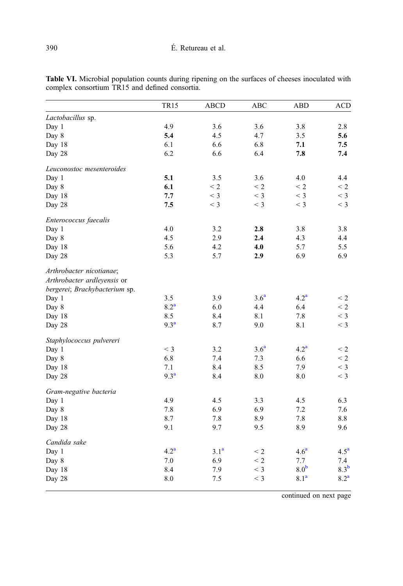|                               | <b>TR15</b>      | <b>ABCD</b>      | <b>ABC</b>       | <b>ABD</b>       | <b>ACD</b>       |
|-------------------------------|------------------|------------------|------------------|------------------|------------------|
| Lactobacillus sp.             |                  |                  |                  |                  |                  |
| Day 1                         | 4.9              | 3.6              | 3.6              | 3.8              | 2.8              |
| Day 8                         | 5.4              | 4.5              | 4.7              | 3.5              | 5.6              |
| Day 18                        | 6.1              | 6.6              | 6.8              | 7.1              | 7.5              |
| Day 28                        | 6.2              | 6.6              | 6.4              | 7.8              | 7.4              |
| Leuconostoc mesenteroides     |                  |                  |                  |                  |                  |
| Day 1                         | 5.1              | 3.5              | 3.6              | 4.0              | 4.4              |
| Day 8                         | 6.1              | $\leq$ 2         | $\leq$ 2         | $\leq$ 2         | $\leq$ 2         |
| Day 18                        | 7.7              | $<$ 3            | $<$ 3            | $<$ 3            | $<$ 3            |
| Day 28                        | 7.5              | $<$ 3            | $<$ 3            | $<$ 3            | $<$ 3            |
| Enterococcus faecalis         |                  |                  |                  |                  |                  |
| Day 1                         | 4.0              | 3.2              | 2.8              | 3.8              | 3.8              |
| Day 8                         | 4.5              | 2.9              | 2.4              | 4.3              | 4.4              |
| Day 18                        | 5.6              | 4.2              | 4.0              | 5.7              | 5.5              |
| Day 28                        | 5.3              | 5.7              | 2.9              | 6.9              | 6.9              |
| Arthrobacter nicotianae;      |                  |                  |                  |                  |                  |
| Arthrobacter ardleyensis or   |                  |                  |                  |                  |                  |
| bergerei; Brachybacterium sp. |                  |                  |                  |                  |                  |
| Day 1                         | 3.5              | 3.9              | 3.6 <sup>a</sup> | 4.2 <sup>a</sup> | $\leq$ 2         |
| Day 8                         | 8.2 <sup>a</sup> | 6.0              | 4.4              | 6.4              | $\leq$ 2         |
| Day 18                        | 8.5              | 8.4              | 8.1              | 7.8              | $<$ 3            |
| Day 28                        | 9.3 <sup>a</sup> | 8.7              | 9.0              | 8.1              | $<$ 3            |
| Staphylococcus pulvereri      |                  |                  |                  |                  |                  |
| Day 1                         | $<$ 3            | 3.2              | 3.6 <sup>a</sup> | 4.2 <sup>a</sup> | $\leq 2$         |
| Day 8                         | 6.8              | 7.4              | 7.3              | 6.6              | $\leq$ 2         |
| Day 18                        | 7.1              | 8.4              | 8.5              | 7.9              | $<$ 3            |
| Day 28                        | 9.3 <sup>a</sup> | 8.4              | 8.0              | 8.0              | $<$ 3            |
| Gram-negative bacteria        |                  |                  |                  |                  |                  |
| Day 1                         | 4.9              | 4.5              | 3.3              | 4.5              | 6.3              |
| Day 8                         | 7.8              | 6.9              | 6.9              | 7.2              | 7.6              |
| Day 18                        | 8.7              | 7.8              | 8.9              | 7.8              | 8.8              |
| Day 28                        | 9.1              | 9.7              | 9.5              | 8.9              | 9.6              |
| Candida sake                  |                  |                  |                  |                  |                  |
| Day 1                         | 4.2 <sup>a</sup> | 3.1 <sup>a</sup> | $\leq 2$         | 4.6 <sup>a</sup> | 4.5 <sup>a</sup> |
| Day 8                         | 7.0              | 6.9              | $\leq$ 2         | 7.7              | 7.4              |
| Day 18                        | 8.4              | 7.9              | $<$ 3            | 8.0 <sup>b</sup> | 8.3 <sup>b</sup> |
| Day 28                        | 8.0              | 7.5              | $<$ 3            | 8.1 <sup>a</sup> | 8.2 <sup>a</sup> |

<span id="page-15-0"></span>Table VI. Microbial population counts during ripening on the surfaces of cheeses inoculated with complex consortium TR15 and defined consortia.

continued on next page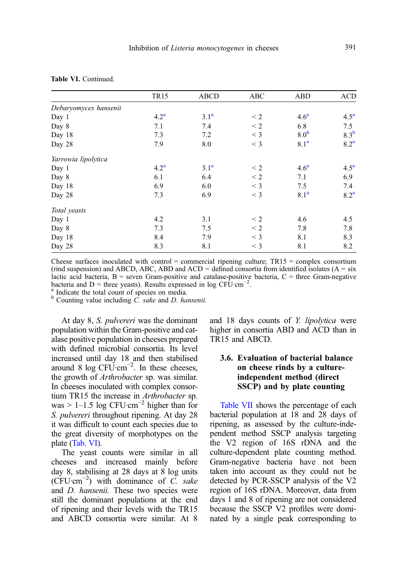|                       | <b>TR15</b>      | ABCD             | ABC      | <b>ABD</b>       | <b>ACD</b>       |
|-----------------------|------------------|------------------|----------|------------------|------------------|
| Debaryomyces hansenii |                  |                  |          |                  |                  |
| Day 1                 | 4.2 <sup>a</sup> | 3.1 <sup>a</sup> | $\leq$ 2 | 4.6 <sup>a</sup> | 4.5 <sup>a</sup> |
| Day 8                 | 7.1              | 7.4              | $\leq$ 2 | 6.8              | 7.5              |
| Day 18                | 7.3              | 7.2              | $<$ 3    | 8.0 <sup>b</sup> | 8.3 <sup>b</sup> |
| Day 28                | 7.9              | 8.0              | $<$ 3    | 8.1 <sup>a</sup> | 8.2 <sup>a</sup> |
| Yarrowia lipolytica   |                  |                  |          |                  |                  |
| Day 1                 | 4.2 <sup>a</sup> | 3.1 <sup>a</sup> | $\leq$ 2 | 4.6 <sup>a</sup> | 4.5 <sup>a</sup> |
| Day 8                 | 6.1              | 6.4              | $\leq 2$ | 7.1              | 6.9              |
| Day 18                | 6.9              | 6.0              | $<$ 3    | 7.5              | 7.4              |
| Day 28                | 7.3              | 6.9              | $<$ 3    | 8.1 <sup>a</sup> | 8.2 <sup>a</sup> |
| Total yeasts          |                  |                  |          |                  |                  |
| Day 1                 | 4.2              | 3.1              | $\leq$ 2 | 4.6              | 4.5              |
| Day 8                 | 7.3              | 7.5              | $\leq$ 2 | 7.8              | 7.8              |
| Day 18                | 8.4              | 7.9              | $<$ 3    | 8.1              | 8.3              |
| Day 28                | 8.3              | 8.1              | $<$ 3    | 8.1              | 8.2              |

| Table VI. Continued. |  |
|----------------------|--|
|----------------------|--|

Cheese surfaces inoculated with control = commercial ripening culture;  $TR15 =$  complex consortium (rind suspension) and ABCD, ABC, ABD and ACD = defined consortia from identified isolates  $(A = s\dot{x})$ lactic acid bacteria,  $B =$  seven Gram-positive and catalase-positive bacteria,  $C =$  three Gram-negative bacteria and D = three yeasts). Results expressed in log CFU·cm<sup>-2</sup> Indicate the total count of species on media.

 $b$ . Counting value including C. sake and D. hansenii.

At day 8, S. pulvereri was the dominant population within the Gram-positive and catalase positive population in cheeses prepared with defined microbial consortia. Its level increased until day 18 and then stabilised around 8 log  $CFU$ ·cm<sup>-2</sup>. In these cheeses, the growth of Arthrobacter sp. was similar. In cheeses inoculated with complex consortium TR15 the increase in Arthrobacter sp. was > 1–1.5 log CFU·cm<sup>-2</sup> higher than for S. pulvereri throughout ripening. At day 28 it was difficult to count each species due to the great diversity of morphotypes on the plate ([Tab. VI](#page-15-0)).

The yeast counts were similar in all cheeses and increased mainly before day 8, stabilising at 28 days at 8 log units  $(\text{CFU} \cdot \text{cm}^{-2})$  with dominance of C. sake and *D. hansenii*. These two species were still the dominant populations at the end of ripening and their levels with the TR15 and ABCD consortia were similar. At 8

and 18 days counts of Y. lipolytica were higher in consortia ABD and ACD than in TR15 and ABCD.

# 3.6. Evaluation of bacterial balance on cheese rinds by a cultureindependent method (direct SSCP) and by plate counting

[Table VII](#page-17-0) shows the percentage of each bacterial population at 18 and 28 days of ripening, as assessed by the culture-independent method SSCP analysis targeting the V2 region of 16S rDNA and the culture-dependent plate counting method. Gram-negative bacteria have not been taken into account as they could not be detected by PCR-SSCP analysis of the V2 region of 16S rDNA. Moreover, data from days 1 and 8 of ripening are not considered because the SSCP V2 profiles were dominated by a single peak corresponding to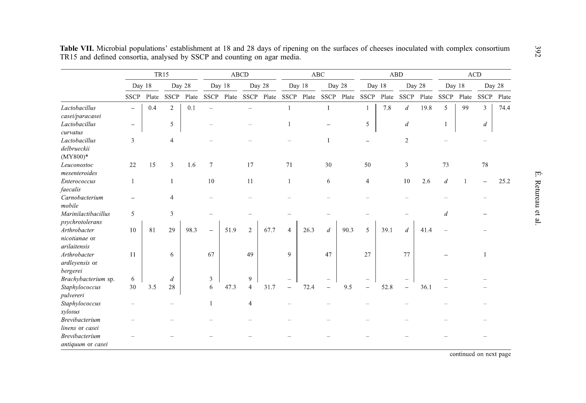|                                               |                          |       | <b>TR15</b>    |       | <b>ABCD</b>              |      |                |      |                |      | $\rm ABC$             |       |                          |       | ${\bf A}{\bf B}{\bf D}$ |       | ACD                      |       |             |       |
|-----------------------------------------------|--------------------------|-------|----------------|-------|--------------------------|------|----------------|------|----------------|------|-----------------------|-------|--------------------------|-------|-------------------------|-------|--------------------------|-------|-------------|-------|
|                                               | Day 18                   |       | Day 28         |       | Day 18                   |      | Day 28         |      | Day 18         |      | Day 28                |       | Day 18                   |       | Day 28                  |       | Day 18                   |       | Day 28      |       |
|                                               | <b>SSCP</b>              | Plate | <b>SSCP</b>    | Plate | <b>SSCP</b>              |      | Plate SSCP     |      |                |      | Plate SSCP Plate SSCP | Plate | <b>SSCP</b>              | Plate | <b>SSCP</b>             | Plate | <b>SSCP</b>              | Plate | <b>SSCP</b> | Plate |
| Lactobacillus<br>casei/paracasei              | $\overline{\phantom{m}}$ | 0.4   | $\overline{2}$ | 0.1   | $\overline{\phantom{a}}$ |      |                |      | $\mathbf{1}$   |      | 1                     |       | $\mathbf{1}$             | 7.8   | $\boldsymbol{d}$        | 19.8  | 5                        | 99    | 3           | 74.4  |
| Lactobacillus<br>curvatus                     | $\overline{\phantom{m}}$ |       | 5              |       |                          |      |                |      |                |      |                       |       | 5                        |       | d                       |       | $\overline{\phantom{a}}$ |       | d           |       |
| Lactobacillus<br>delbrueckii<br>$(MY800)*$    | 3                        |       | $\overline{4}$ |       |                          |      |                |      |                |      |                       |       |                          |       | $\overline{2}$          |       |                          |       |             |       |
| Leuconostoc<br>mesenteroides                  | 22                       | 15    | 3              | 1.6   | 7                        |      | 17             |      | 71             |      | 30                    |       | 50                       |       | 3                       |       | 73                       |       | 78          |       |
| Enterococcus<br>faecalis                      |                          |       |                |       | 10                       |      | 11             |      | -1             |      | 6                     |       | $\overline{4}$           |       | 10                      | 2.6   | $\overline{d}$           |       |             | 25.2  |
| Carnobacterium<br>mobile                      |                          |       |                |       |                          |      |                |      |                |      |                       |       |                          |       |                         |       |                          |       |             |       |
| Marinilactibacillus<br>psychrotolerans        | 5                        |       | 3              |       |                          |      |                |      |                |      |                       |       |                          |       |                         |       | $\overline{d}$           |       |             |       |
| Arthrobacter<br>nicotianae or<br>arilaitensis | 10                       | 81    | 29             | 98.3  | $\overline{\phantom{0}}$ | 51.9 | $\overline{2}$ | 67.7 | $\overline{4}$ | 26.3 | $\boldsymbol{d}$      | 90.3  | 5                        | 39.1  | $\boldsymbol{d}$        | 41.4  |                          |       |             |       |
| Arthrobacter<br>ardleyensis or<br>bergerei    | 11                       |       | 6              |       | 67                       |      | 49             |      | 9              |      | 47                    |       | 27                       |       | 77                      |       |                          |       |             |       |
| Brachybacterium sp.                           | 6                        |       | $\overline{d}$ |       | 3                        |      | 9              |      |                |      |                       |       |                          |       |                         |       |                          |       |             |       |
| Staphylococcus<br>pulvereri                   | 30                       | 3.5   | 28             |       | 6                        | 47.3 | 4              | 31.7 |                | 72.4 |                       | 9.5   | $\overline{\phantom{a}}$ | 52.8  | $\equiv$                | 36.1  |                          |       |             |       |
| Staphylococcus<br>xylosus                     |                          |       |                |       |                          |      | 4              |      |                |      |                       |       |                          |       |                         |       |                          |       |             |       |
| <b>Brevibacterium</b><br>linens or casei      |                          |       |                |       |                          |      |                |      |                |      |                       |       |                          |       |                         |       |                          |       |             |       |
| Brevibacterium<br>antiquum or casei           |                          |       |                |       |                          |      |                |      |                |      |                       |       |                          |       |                         |       |                          |       |             |       |

<span id="page-17-0"></span>Table VII. Microbial populations' establishment at 18 and 28 days of ripening on the surfaces of cheeses inoculated with complex consortium TR15 and defined consortia, analysed by SSCP and counting on agar media.

continued on next page

 $392$  E. Retureau et al.  $\acute{\mathrm{E}}$  . Retureau et al.

392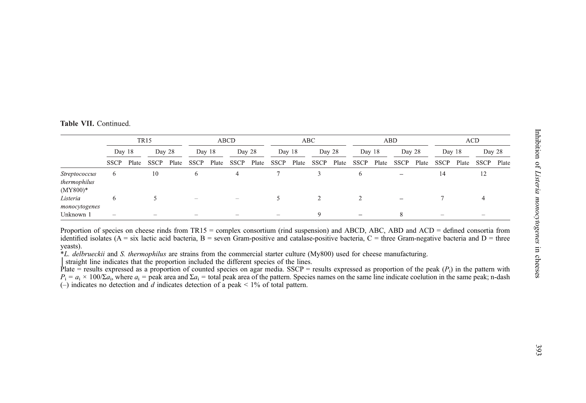|  | Table VII. Continued |  |
|--|----------------------|--|
|  |                      |  |

|                                                    | <b>TR15</b>              |       |             |       | <b>ABCD</b>              |       |                          |       | ABC                      |       |             |       | ABD         |       |                          |       | ACD                      |       |                          |       |
|----------------------------------------------------|--------------------------|-------|-------------|-------|--------------------------|-------|--------------------------|-------|--------------------------|-------|-------------|-------|-------------|-------|--------------------------|-------|--------------------------|-------|--------------------------|-------|
|                                                    | Day 18                   |       | Day 28      |       | Day 18                   |       | Day 28                   |       | Day 18                   |       | Day 28      |       | Day 18      |       | Day 28                   |       | Day 18                   |       | Day 28                   |       |
|                                                    | <b>SSCP</b>              | Plate | <b>SSCP</b> | Plate | <b>SSCP</b>              | Plate | <b>SSCP</b>              | Plate | <b>SSCP</b>              | Plate | <b>SSCP</b> | Plate | <b>SSCP</b> | Plate | <b>SSCP</b>              | Plate | <b>SSCP</b>              | Plate | <b>SSCP</b>              | Plate |
| <i>Streptococcus</i><br>thermophilus<br>$(MY800)*$ | $^{\circ}$               |       | 10          |       | 6                        |       | 4                        |       |                          |       |             |       |             |       | $\overline{\phantom{0}}$ |       | 14                       |       | 12                       |       |
| Listeria<br>monocytogenes                          | 6                        |       |             |       | $\overline{\phantom{a}}$ |       | $\overline{\phantom{a}}$ |       |                          |       |             |       |             |       |                          |       |                          |       |                          |       |
| Unknown 1                                          | $\overline{\phantom{a}}$ |       |             |       | $\overline{\phantom{a}}$ |       | $\overline{\phantom{a}}$ |       | $\overline{\phantom{m}}$ |       | $\Omega$    |       | -           |       |                          |       | $\overline{\phantom{a}}$ |       | $\overline{\phantom{a}}$ |       |

Proportion of species on cheese rinds from TR15 = complex consortium (rind suspension) and ABCD, ABC, ABD and ACD = defined consortia from identified isolates ( $A = \text{six}$  lactic acid bacteria,  $B = \text{seven}$  Gram-positive and catalase-positive bacteria,  $C = \text{three}$  Gram-negative bacteria and  $D = \text{three}$ yeasts).

\*L. delbrueckii and S. thermophilus are strains from the commercial starter culture (My800) used for cheese manufacturing.

│straight line indicates that the proportion included the different species of the lines.

Plate = results expressed as a proportion of counted species on agar media. SSCP = results expressed as proportion of the peak ( $P_i$ ) in the pattern with  $P_i = a_i \times 100/\Sigma a_i$ , where  $a_i$  = peak area and  $\Sigma a_i$  = total peak area of the pattern. Species names on the same line indicate coelution in the same peak; n-dash (–) indicates no detection and d indicates detection of a peak  $\leq 1\%$  of total pattern.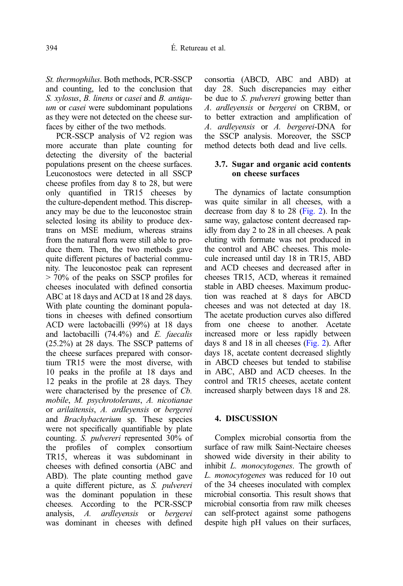St. thermophilus. Both methods, PCR-SSCP and counting, led to the conclusion that S. xylosus, B. linens or casei and B. antiquum or *casei* were subdominant populations as they were not detected on the cheese surfaces by either of the two methods.

PCR-SSCP analysis of V2 region was more accurate than plate counting for detecting the diversity of the bacterial populations present on the cheese surfaces. Leuconostocs were detected in all SSCP cheese profiles from day 8 to 28, but were only quantified in TR15 cheeses by the culture-dependent method. This discrepancy may be due to the leuconostoc strain selected losing its ability to produce dextrans on MSE medium, whereas strains from the natural flora were still able to produce them. Then, the two methods gave quite different pictures of bacterial community. The leuconostoc peak can represent > 70% of the peaks on SSCP profiles for cheeses inoculated with defined consortia ABC at 18 days and ACD at 18 and 28 days. With plate counting the dominant populations in cheeses with defined consortium ACD were lactobacilli (99%) at 18 days and lactobacilli  $(74.4\%)$  and E. faecalis (25.2%) at 28 days. The SSCP patterns of the cheese surfaces prepared with consortium TR15 were the most diverse, with 10 peaks in the profile at 18 days and 12 peaks in the profile at 28 days. They were characterised by the presence of Cb. mobile, M. psychrotolerans, A. nicotianae or arilaitensis, A. ardleyensis or bergerei and Brachybacterium sp. These species were not specifically quantifiable by plate counting. S. pulvereri represented 30% of the profiles of complex consortium TR15, whereas it was subdominant in cheeses with defined consortia (ABC and ABD). The plate counting method gave a quite different picture, as S. pulvereri was the dominant population in these cheeses. According to the PCR-SSCP analysis, A. ardleyensis or bergerei was dominant in cheeses with defined consortia (ABCD, ABC and ABD) at day 28. Such discrepancies may either be due to *S. pulvereri* growing better than A. ardleyensis or bergerei on CRBM, or to better extraction and amplification of A. ardleyensis or A. bergerei-DNA for the SSCP analysis. Moreover, the SSCP method detects both dead and live cells.

# 3.7. Sugar and organic acid contents on cheese surfaces

The dynamics of lactate consumption was quite similar in all cheeses, with a decrease from day 8 to 28 [\(Fig. 2\)](#page-20-0). In the same way, galactose content decreased rapidly from day 2 to 28 in all cheeses. A peak eluting with formate was not produced in the control and ABC cheeses. This molecule increased until day 18 in TR15, ABD and ACD cheeses and decreased after in cheeses TR15, ACD, whereas it remained stable in ABD cheeses. Maximum production was reached at 8 days for ABCD cheeses and was not detected at day 18. The acetate production curves also differed from one cheese to another. Acetate increased more or less rapidly between days 8 and 18 in all cheeses ([Fig. 2\)](#page-20-0). After days 18, acetate content decreased slightly in ABCD cheeses but tended to stabilise in ABC, ABD and ACD cheeses. In the control and TR15 cheeses, acetate content increased sharply between days 18 and 28.

# 4. DISCUSSION

Complex microbial consortia from the surface of raw milk Saint-Nectaire cheeses showed wide diversity in their ability to inhibit L. monocytogenes. The growth of L. monocytogenes was reduced for 10 out of the 34 cheeses inoculated with complex microbial consortia. This result shows that microbial consortia from raw milk cheeses can self-protect against some pathogens despite high pH values on their surfaces,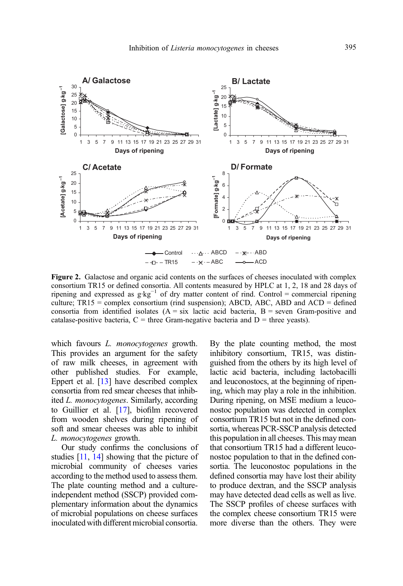<span id="page-20-0"></span>

Figure 2. Galactose and organic acid contents on the surfaces of cheeses inoculated with complex consortium TR15 or defined consortia. All contents measured by HPLC at 1, 2, 18 and 28 days of ripening and expressed as g·kg<sup>-1</sup> of dry matter content of rind. Control = commercial ripening culture;  $TR15 = \text{complex consortium (rind suspension)}$ ; ABCD, ABC, ABD and ACD = defined consortia from identified isolates  $(A = six$  lactic acid bacteria,  $B = s$ even Gram-positive and catalase-positive bacteria,  $C =$  three Gram-negative bacteria and  $D =$  three yeasts).

which favours *L. monocytogenes* growth. This provides an argument for the safety of raw milk cheeses, in agreement with other published studies. For example, Eppert et al. [\[13](#page-22-0)] have described complex consortia from red smear cheeses that inhibited L. monocytogenes. Similarly, according to Guillier et al. [[17](#page-23-0)], biofilm recovered from wooden shelves during ripening of soft and smear cheeses was able to inhibit L. monocytogenes growth.

Our study confirms the conclusions of studies [\[11,](#page-22-0) [14](#page-22-0)] showing that the picture of microbial community of cheeses varies according to the method used to assess them. The plate counting method and a cultureindependent method (SSCP) provided complementary information about the dynamics of microbial populations on cheese surfaces inoculated with different microbial consortia. By the plate counting method, the most inhibitory consortium, TR15, was distinguished from the others by its high level of lactic acid bacteria, including lactobacilli and leuconostocs, at the beginning of ripening, which may play a role in the inhibition. During ripening, on MSE medium a leuconostoc population was detected in complex consortium TR15 but not in the defined consortia, whereas PCR-SSCP analysis detected this population in all cheeses. This may mean that consortium TR15 had a different leuconostoc population to that in the defined consortia. The leuconostoc populations in the defined consortia may have lost their ability to produce dextran, and the SSCP analysis may have detected dead cells as well as live. The SSCP profiles of cheese surfaces with the complex cheese consortium TR15 were more diverse than the others. They were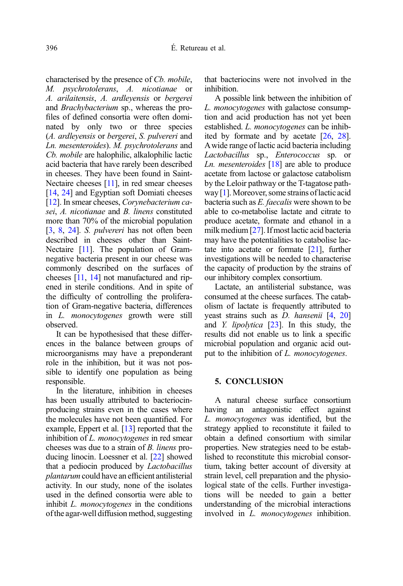characterised by the presence of Cb. mobile, M. psychrotolerans, A. nicotianae or A. arilaitensis, A. ardleyensis or bergerei and Brachybacterium sp., whereas the profiles of defined consortia were often dominated by only two or three species (A. ardleyensis or bergerei, S. pulvereri and Ln. mesenteroides). M. psychrotolerans and Cb. mobile are halophilic, alkalophilic lactic acid bacteria that have rarely been described in cheeses. They have been found in Saint-Nectaire cheeses [\[11](#page-22-0)], in red smear cheeses [\[14](#page-22-0), [24](#page-23-0)] and Egyptian soft Domiati cheeses [\[12](#page-22-0)]. In smear cheeses, *Corvnebacterium ca*sei, A. nicotianae and B. linens constituted more than 70% of the microbial population [\[3](#page-22-0), [8,](#page-22-0) [24\]](#page-23-0). S. *pulvereri* has not often been described in cheeses other than Saint-Nectaire [[11](#page-22-0)]. The population of Gramnegative bacteria present in our cheese was commonly described on the surfaces of cheeses [\[11](#page-22-0), [14\]](#page-22-0) not manufactured and ripened in sterile conditions. And in spite of the difficulty of controlling the proliferation of Gram-negative bacteria, differences in L. monocytogenes growth were still observed.

It can be hypothesised that these differences in the balance between groups of microorganisms may have a preponderant role in the inhibition, but it was not possible to identify one population as being responsible.

In the literature, inhibition in cheeses has been usually attributed to bacteriocinproducing strains even in the cases where the molecules have not been quantified. For example, Eppert et al. [\[13\]](#page-22-0) reported that the inhibition of L. *monocytogenes* in red smear cheeses was due to a strain of B. linens producing linocin. Loessner et al. [[22](#page-23-0)] showed that a pediocin produced by *Lactobacillus* plantarum could have an efficient antilisterial activity. In our study, none of the isolates used in the defined consortia were able to inhibit L. monocytogenes in the conditions ofthe agar-well diffusion method, suggesting that bacteriocins were not involved in the inhibition.

A possible link between the inhibition of L. monocytogenes with galactose consumption and acid production has not yet been established. L. monocytogenes can be inhibited by formate and by acetate [\[26,](#page-23-0) [28](#page-23-0)]. Awide range of lactic acid bacteria including Lactobacillus sp., Enterococcus sp. or *Ln. mesenteroides*  $[18]$  $[18]$  $[18]$  are able to produce acetate from lactose or galactose catabolism by the Leloir pathway or the T-tagatose pathway [\[1](#page-22-0)]. Moreover, some strains of lactic acid bacteria such as E. faecalis were shown to be able to co-metabolise lactate and citrate to produce acetate, formate and ethanol in a milk medium [\[27\]](#page-23-0). If most lactic acid bacteria may have the potentialities to catabolise lactate into acetate or formate [\[21\]](#page-23-0), further investigations will be needed to characterise the capacity of production by the strains of our inhibitory complex consortium.

Lactate, an antilisterial substance, was consumed at the cheese surfaces. The catabolism of lactate is frequently attributed to yeast strains such as D. hansenii [\[4](#page-22-0), [20](#page-23-0)] and Y. lipolytica [\[23\]](#page-23-0). In this study, the results did not enable us to link a specific microbial population and organic acid output to the inhibition of L. *monocytogenes*.

#### 5. CONCLUSION

A natural cheese surface consortium having an antagonistic effect against L. monocytogenes was identified, but the strategy applied to reconstitute it failed to obtain a defined consortium with similar properties. New strategies need to be established to reconstitute this microbial consortium, taking better account of diversity at strain level, cell preparation and the physiological state of the cells. Further investigations will be needed to gain a better understanding of the microbial interactions involved in L. monocytogenes inhibition.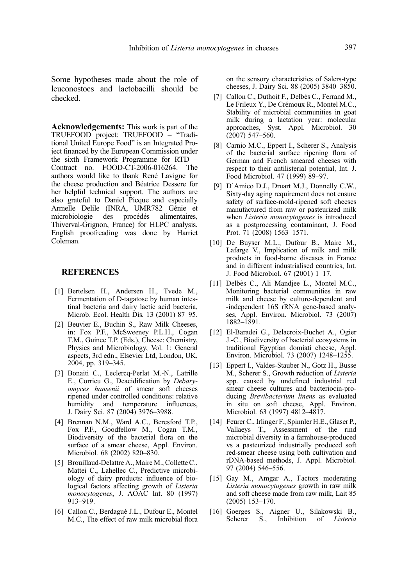<span id="page-22-0"></span>Some hypotheses made about the role of leuconostocs and lactobacilli should be checked.

Acknowledgements: This work is part of the TRUEFOOD project: TRUEFOOD – "Traditional United Europe Food" is an Integrated Project financed by the European Commission under the sixth Framework Programme for RTD – Contract no. FOOD-CT-2006-016264. The authors would like to thank René Lavigne for the cheese production and Béatrice Dessere for her helpful technical support. The authors are also grateful to Daniel Picque and especially Armelle Delile (INRA, UMR782 Génie et<br>microbiologie des procédés alimentaires, procédés alimentaires, Thiverval-Grignon, France) for HLPC analysis. English proofreading was done by Harriet Coleman.

#### **REFERENCES**

- [1] Bertelsen H., Andersen H., Tvede M., Fermentation of D-tagatose by human intestinal bacteria and dairy lactic acid bacteria, Microb. Ecol. Health Dis. 13 (2001) 87–95.
- [2] Beuvier E., Buchin S., Raw Milk Cheeses, in: Fox P.F., McSweeney P.L.H., Cogan T.M., Guinee T.P. (Eds.), Cheese: Chemistry, Physics and Microbiology, Vol. 1: General aspects, 3rd edn., Elsevier Ltd, London, UK, 2004, pp. 319–345.
- [3] Bonaiti C., Leclercq-Perlat M.-N., Latrille E., Corrieu G., Deacidification by Debaryomyces hansenii of smear soft cheeses ripened under controlled conditions: relative<br>humidity and temperature influences, humidity and temperature influences, J. Dairy Sci. 87 (2004) 3976–3988.
- [4] Brennan N.M., Ward A.C., Beresford T.P., Fox P.F., Goodfellow M., Cogan T.M., Biodiversity of the bacterial flora on the surface of a smear cheese, Appl. Environ. Microbiol. 68 (2002) 820–830.
- [5] Brouillaud-Delattre A., Maire M., Collette C., Mattei C., Lahellec C., Predictive microbiology of dairy products: influence of biological factors affecting growth of Listeria monocytogenes, J. AOAC Int. 80 (1997) 913–919.
- [6] Callon C., Berdagué J.L., Dufour E., Montel M.C., The effect of raw milk microbial flora

on the sensory characteristics of Salers-type cheeses, J. Dairy Sci. 88 (2005) 3840–3850.

- [7] Callon C., Duthoit F., Delbès C., Ferrand M., Le Frileux Y., De Crémoux R., Montel M.C., Stability of microbial communities in goat milk during a lactation year: molecular approaches, Syst. Appl. Microbiol. 30  $(2007)$  547–560.
- [8] Carnio M.C., Eppert I., Scherer S., Analysis of the bacterial surface ripening flora of German and French smeared cheeses with respect to their antilisterial potential, Int. J. Food Microbiol. 47 (1999) 89–97.
- [9] D'Amico D.J., Druart M.J., Donnelly C.W., Sixty-day aging requirement does not ensure safety of surface-mold-ripened soft cheeses manufactured from raw or pasteurized milk when Listeria monocytogenes is introduced as a postprocessing contaminant, J. Food Prot. 71 (2008) 1563-1571.
- [10] De Buyser M.L., Dufour B., Maire M., Lafarge V., Implication of milk and milk products in food-borne diseases in France and in different industrialised countries, Int. J. Food Microbiol. 67 (2001) 1–17.
- [11] Delbès C., Ali Mandjee L., Montel M.C., Monitoring bacterial communities in raw milk and cheese by culture-dependent and -independent 16S rRNA gene-based analyses, Appl. Environ. Microbiol. 73 (2007) 1882–1891.
- [12] El-Baradei G., Delacroix-Buchet A., Ogier J.-C., Biodiversity of bacterial ecosystems in traditional Egyptian domiati cheese, Appl. Environ. Microbiol. 73 (2007) 1248–1255.
- [13] Eppert I., Valdes-Stauber N., Gotz H., Busse M., Scherer S., Growth reduction of Listeria spp. caused by undefined industrial red smear cheese cultures and bacteriocin-producing Brevibacterium linens as evaluated in situ on soft cheese, Appl. Environ. Microbiol. 63 (1997) 4812–4817.
- [14] Feurer C., Irlinger F., Spinnler H.E., Glaser P., Vallaeys T., Assessment of the rind microbial diversity in a farmhouse-produced vs a pasteurized industrially produced soft red-smear cheese using both cultivation and rDNA-based methods, J. Appl. Microbiol. 97 (2004) 546–556.
- [15] Gay M., Amgar A., Factors moderating Listeria monocytogenes growth in raw milk and soft cheese made from raw milk, Lait 85 (2005) 153–170.
- [16] Goerges S., Aigner U., Silakowski B., Scherer S., Inhibition of Listeria